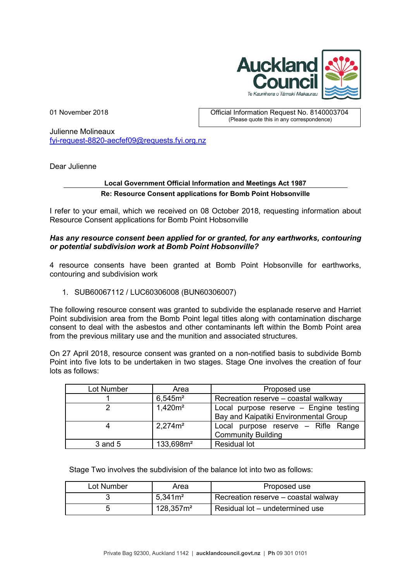

01 November 2018 Official Information Request No. 8140003704 (Please quote this in any correspondence)

Julienne Molineaux [fyi-request-8820-aecfef09@requests.fyi.org.nz](mailto:xxxxxxxxxxxxxxxxxxxxxxxxx@xxxxxxxx.xxx.xxx.xx)

Dear Julienne

# **Local Government Official Information and Meetings Act 1987 Re: Resource Consent applications for Bomb Point Hobsonville**

I refer to your email, which we received on 08 October 2018, requesting information about Resource Consent applications for Bomb Point Hobsonville

### *Has any resource consent been applied for or granted, for any earthworks, contouring or potential subdivision work at Bomb Point Hobsonville?*

4 resource consents have been granted at Bomb Point Hobsonville for earthworks, contouring and subdivision work

1. SUB60067112 / LUC60306008 (BUN60306007)

The following resource consent was granted to subdivide the esplanade reserve and Harriet Point subdivision area from the Bomb Point legal titles along with contamination discharge consent to deal with the asbestos and other contaminants left within the Bomb Point area from the previous military use and the munition and associated structures.

On 27 April 2018, resource consent was granted on a non-notified basis to subdivide Bomb Point into five lots to be undertaken in two stages. Stage One involves the creation of four lots as follows:

| Lot Number | Area                  | Proposed use                                                                    |
|------------|-----------------------|---------------------------------------------------------------------------------|
|            | 6,545m <sup>2</sup>   | Recreation reserve - coastal walkway                                            |
|            | $1,420m^2$            | Local purpose reserve - Engine testing<br>Bay and Kaipatiki Environmental Group |
|            | 2,274m <sup>2</sup>   | Local purpose reserve – Rifle Range<br><b>Community Building</b>                |
| 3 and 5    | 133,698m <sup>2</sup> | <b>Residual lot</b>                                                             |

Stage Two involves the subdivision of the balance lot into two as follows:

| Lot Number | Area                  | Proposed use                        |
|------------|-----------------------|-------------------------------------|
|            | 5,341m <sup>2</sup>   | Recreation reserve – coastal walway |
|            | 128.357m <sup>2</sup> | Residual lot – undetermined use     |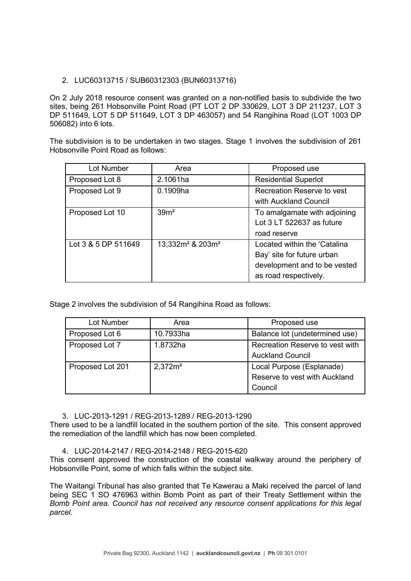### 2. LUC60313715 / SUB60312303 (BUN60313716)

On 2 July 2018 resource consent was granted on a non-notified basis to subdivide the two sites, being 261 Hobsonville Point Road (PT LOT 2 DP 330629, LOT 3 DP 211237, LOT 3 DP 511649, LOT 5 DP 511649, LOT 3 DP 463057) and 54 Rangihina Road (LOT 1003 DP 506082) into 6 lots.

The subdivision is to be undertaken in two stages. Stage 1 involves the subdivision of 261 Hobsonville Point Road as follows:

| Lot Number          | Area                                     | Proposed use                                                                                                        |
|---------------------|------------------------------------------|---------------------------------------------------------------------------------------------------------------------|
| Proposed Lot 8      | 2.1061ha                                 | <b>Residential Superlot</b>                                                                                         |
| Proposed Lot 9      | 0.1909ha                                 | Recreation Reserve to yest                                                                                          |
|                     |                                          | with Auckland Council                                                                                               |
| Proposed Lot 10     | 39 <sup>m²</sup>                         | To amalgamate with adjoining<br>Lot 3 LT 522637 as future<br>road reserve                                           |
| Lot 3 & 5 DP 511649 | 13,332m <sup>2</sup> & 203m <sup>2</sup> | Located within the 'Catalina<br>Bay' site for future urban<br>development and to be vested<br>as road respectively. |

Stage 2 involves the subdivision of 54 Rangihina Road as follows:

| Lot Number       | Area                | Proposed use                                                          |
|------------------|---------------------|-----------------------------------------------------------------------|
| Proposed Lot 6   | 10.7933ha           | Balance lot (undetermined use)                                        |
| Proposed Lot 7   | 1.8732ha            | Recreation Reserve to vest with<br><b>Auckland Council</b>            |
| Proposed Lot 201 | 2,372m <sup>2</sup> | Local Purpose (Esplanade)<br>Reserve to vest with Auckland<br>Council |

3. LUC-2013-1291 / REG-2013-1289 / REG-2013-1290

There used to be a landfill located in the southern portion of the site. This consent approved the remediation of the landfill which has now been completed.

4. LUC-2014-2147 / REG-2014-2148 / REG-2015-620

This consent approved the construction of the coastal walkway around the periphery of Hobsonville Point, some of which falls within the subject site.

The Waitangi Tribunal has also granted that Te Kawerau a Maki received the parcel of land being SEC 1 SO 476963 within Bomb Point as part of their Treaty Settlement within the *Bomb Point area. Council has not received any resource consent applications for this legal parcel.*